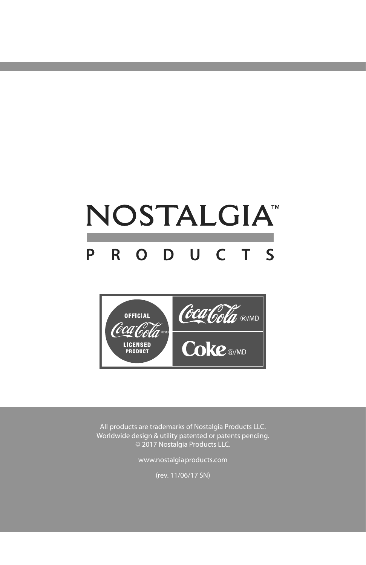## NOSTALGIA<sup>®</sup> R O D U C T S P



All products are trademarks of Nostalgia Products LLC. Worldwide design & utility patented or patents pending. © 2017 Nostalgia Products LLC.

www.nostalgiaproducts.com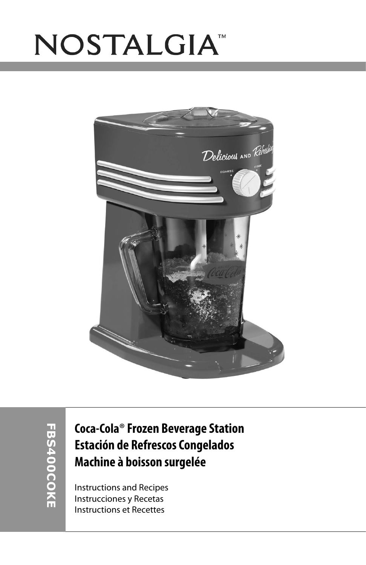# NOSTALGIA<sup>®</sup>



### **Coca-Cola**® **Frozen Beverage Station Estación de Refrescos Congelados Machine à boisson surgelée**

Instructions and Recipes Instrucciones y Recetas Instructions et Recettes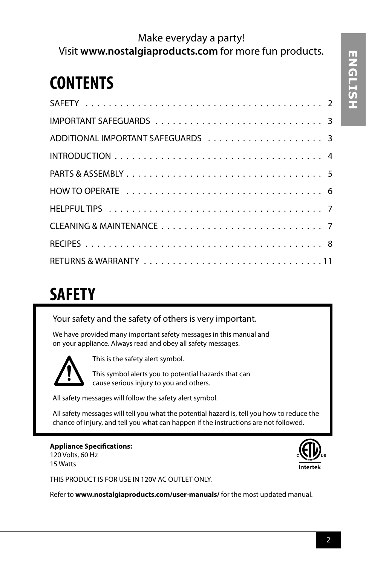### Make everyday a party! Visit **www.nostalgiaproducts.com** for more fun products.

## **CONTENTS**

## **SAFETY**

Your safety and the safety of others is very important.

We have provided many important safety messages in this manual and on your appliance. Always read and obey all safety messages.



This is the safety alert symbol.

This symbol alerts you to potential hazards that can cause serious injury to you and others.

All safety messages will follow the safety alert symbol.

All safety messages will tell you what the potential hazard is, tell you how to reduce the chance of injury, and tell you what can happen if the instructions are not followed.

#### **Appliance Specifications:**

120 Volts, 60 Hz 15 Watts



THIS PRODUCT IS FOR USE IN 120V AC OUTLET ONLY.

Refer to **www.nostalgiaproducts.com/user-manuals/** for the most updated manual.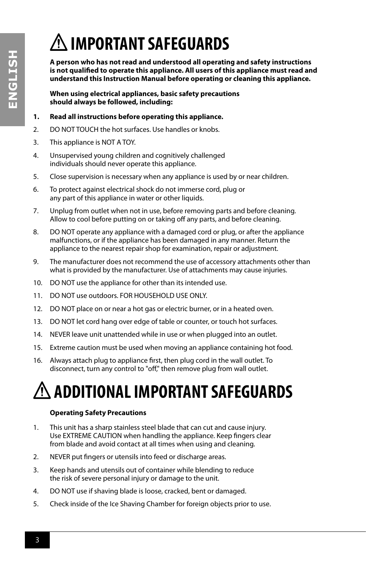## **IMPORTANT SAFEGUARDS**

**A person who has not read and understood all operating and safety instructions is not qualified to operate this appliance. All users of this appliance must read and understand this Instruction Manual before operating or cleaning this appliance.**

**When using electrical appliances, basic safety precautions should always be followed, including:**

#### **1. Read all instructions before operating this appliance.**

- 2. DO NOT TOUCH the hot surfaces. Use handles or knobs.
- 3. This appliance is NOT A TOY.
- 4. Unsupervised young children and cognitively challenged individuals should never operate this appliance.
- 5. Close supervision is necessary when any appliance is used by or near children.
- 6. To protect against electrical shock do not immerse cord, plug or any part of this appliance in water or other liquids.
- 7. Unplug from outlet when not in use, before removing parts and before cleaning. Allow to cool before putting on or taking off any parts, and before cleaning.
- 8. DO NOT operate any appliance with a damaged cord or plug, or after the appliance malfunctions, or if the appliance has been damaged in any manner. Return the appliance to the nearest repair shop for examination, repair or adjustment.
- 9. The manufacturer does not recommend the use of accessory attachments other than what is provided by the manufacturer. Use of attachments may cause injuries.
- 10. DO NOT use the appliance for other than its intended use.
- 11. DO NOT use outdoors. FOR HOUSEHOLD USE ONLY.
- 12. DO NOT place on or near a hot gas or electric burner, or in a heated oven.
- 13. DO NOT let cord hang over edge of table or counter, or touch hot surfaces.
- 14. NEVER leave unit unattended while in use or when plugged into an outlet.
- 15. Extreme caution must be used when moving an appliance containing hot food.
- 16. Always attach plug to appliance first, then plug cord in the wall outlet. To disconnect, turn any control to "off," then remove plug from wall outlet.

## **ADDITIONAL IMPORTANT SAFEGUARDS**

#### **Operating Safety Precautions**

- 1. This unit has a sharp stainless steel blade that can cut and cause injury. Use EXTREME CAUTION when handling the appliance. Keep fingers clear from blade and avoid contact at all times when using and cleaning.
- 2. NEVER put fingers or utensils into feed or discharge areas.
- 3. Keep hands and utensils out of container while blending to reduce the risk of severe personal injury or damage to the unit.
- 4. DO NOT use if shaving blade is loose, cracked, bent or damaged.
- 5. Check inside of the Ice Shaving Chamber for foreign objects prior to use.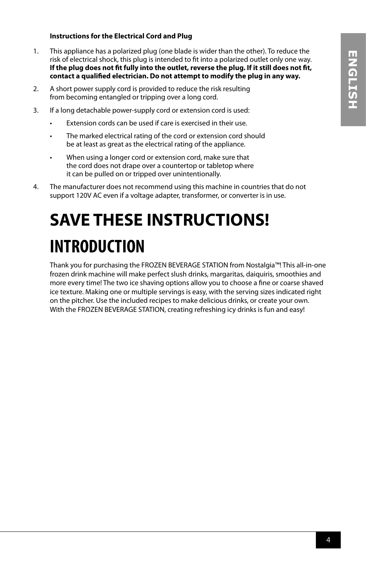#### **Instructions for the Electrical Cord and Plug**

- 1. This appliance has a polarized plug (one blade is wider than the other). To reduce the risk of electrical shock, this plug is intended to fit into a polarized outlet only one way. **If the plug does not fit fully into the outlet, reverse the plug. If it still does not fit, contact a qualified electrician. Do not attempt to modify the plug in any way.**
- 2. A short power supply cord is provided to reduce the risk resulting from becoming entangled or tripping over a long cord.
- 3. If a long detachable power-supply cord or extension cord is used:
	- Extension cords can be used if care is exercised in their use.
	- The marked electrical rating of the cord or extension cord should be at least as great as the electrical rating of the appliance.
	- When using a longer cord or extension cord, make sure that the cord does not drape over a countertop or tabletop where it can be pulled on or tripped over unintentionally.
- 4. The manufacturer does not recommend using this machine in countries that do not support 120V AC even if a voltage adapter, transformer, or converter is in use.

## **SAVE THESE INSTRUCTIONS! INTRODUCTION**

Thank you for purchasing the FROZEN BEVERAGE STATION from Nostalgia™! This all-in-one frozen drink machine will make perfect slush drinks, margaritas, daiquiris, smoothies and more every time! The two ice shaving options allow you to choose a fine or coarse shaved ice texture. Making one or multiple servings is easy, with the serving sizes indicated right on the pitcher. Use the included recipes to make delicious drinks, or create your own. With the FROZEN BEVERAGE STATION, creating refreshing icy drinks is fun and easy!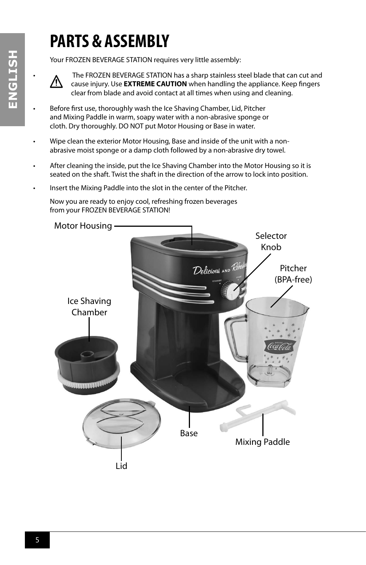## **PARTS & ASSEMBLY**

Your FROZEN BEVERAGE STATION requires very little assembly:



• The FROZEN BEVERAGE STATION has a sharp stainless steel blade that can cut and cause injury. Use **EXTREME CAUTION** when handling the appliance. Keep fingers clear from blade and avoid contact at all times when using and cleaning.

- Before first use, thoroughly wash the Ice Shaving Chamber, Lid, Pitcher and Mixing Paddle in warm, soapy water with a non-abrasive sponge or cloth. Dry thoroughly. DO NOT put Motor Housing or Base in water.
- Wipe clean the exterior Motor Housing, Base and inside of the unit with a nonabrasive moist sponge or a damp cloth followed by a non-abrasive dry towel.
- After cleaning the inside, put the Ice Shaving Chamber into the Motor Housing so it is seated on the shaft. Twist the shaft in the direction of the arrow to lock into position.
- Insert the Mixing Paddle into the slot in the center of the Pitcher.

Now you are ready to enjoy cool, refreshing frozen beverages from your FROZEN BEVERAGE STATION!

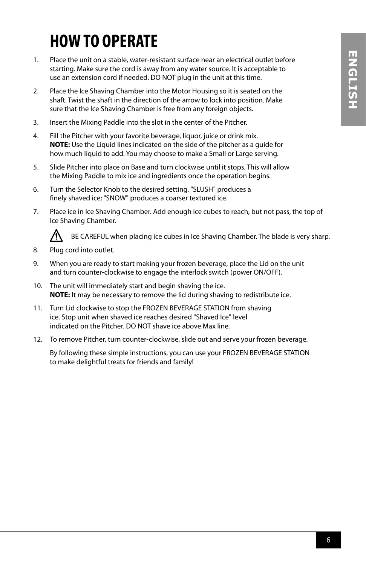## **HOW TO OPERATE**

- 1. Place the unit on a stable, water-resistant surface near an electrical outlet before starting. Make sure the cord is away from any water source. It is acceptable to use an extension cord if needed. DO NOT plug in the unit at this time.
- 2. Place the Ice Shaving Chamber into the Motor Housing so it is seated on the shaft. Twist the shaft in the direction of the arrow to lock into position. Make sure that the Ice Shaving Chamber is free from any foreign objects.
- 3. Insert the Mixing Paddle into the slot in the center of the Pitcher.
- 4. Fill the Pitcher with your favorite beverage, liquor, juice or drink mix. **NOTE:** Use the Liquid lines indicated on the side of the pitcher as a guide for how much liquid to add. You may choose to make a Small or Large serving.
- 5. Slide Pitcher into place on Base and turn clockwise until it stops. This will allow the Mixing Paddle to mix ice and ingredients once the operation begins.
- 6. Turn the Selector Knob to the desired setting. "SLUSH" produces a finely shaved ice; "SNOW" produces a coarser textured ice.
- 7. Place ice in Ice Shaving Chamber. Add enough ice cubes to reach, but not pass, the top of Ice Shaving Chamber.



BE CAREFUL when placing ice cubes in Ice Shaving Chamber. The blade is very sharp.

- 8. Plug cord into outlet.
- 9. When you are ready to start making your frozen beverage, place the Lid on the unit and turn counter-clockwise to engage the interlock switch (power ON/OFF).
- 10. The unit will immediately start and begin shaving the ice. **NOTE:** It may be necessary to remove the lid during shaving to redistribute ice.
- 11. Turn Lid clockwise to stop the FROZEN BEVERAGE STATION from shaving ice. Stop unit when shaved ice reaches desired "Shaved Ice" level indicated on the Pitcher. DO NOT shave ice above Max line.
- 12. To remove Pitcher, turn counter-clockwise, slide out and serve your frozen beverage.

By following these simple instructions, you can use your FROZEN BEVERAGE STATION to make delightful treats for friends and family!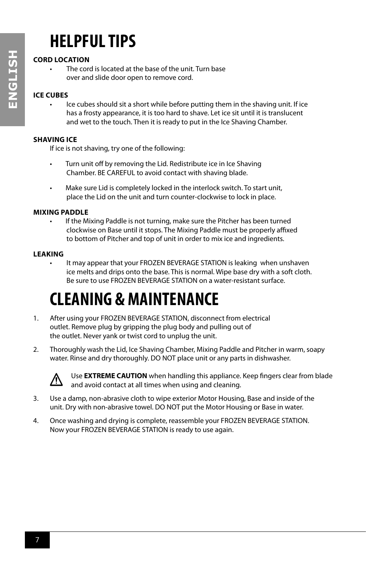## **HELPFUL TIPS**

#### **CORD LOCATION**

The cord is located at the base of the unit. Turn base over and slide door open to remove cord.

#### **ICE CUBES**

Ice cubes should sit a short while before putting them in the shaving unit. If ice has a frosty appearance, it is too hard to shave. Let ice sit until it is translucent and wet to the touch. Then it is ready to put in the Ice Shaving Chamber.

#### **SHAVING ICE**

If ice is not shaving, try one of the following:

- Turn unit off by removing the Lid. Redistribute ice in Ice Shaving Chamber. BE CAREFUL to avoid contact with shaving blade.
- Make sure Lid is completely locked in the interlock switch. To start unit, place the Lid on the unit and turn counter-clockwise to lock in place.

#### **MIXING PADDLE**

If the Mixing Paddle is not turning, make sure the Pitcher has been turned clockwise on Base until it stops. The Mixing Paddle must be properly affixed to bottom of Pitcher and top of unit in order to mix ice and ingredients.

#### **LEAKING**

It may appear that your FROZEN BEVERAGE STATION is leaking when unshaven ice melts and drips onto the base. This is normal. Wipe base dry with a soft cloth. Be sure to use FROZEN BEVERAGE STATION on a water-resistant surface.

## **CLEANING & MAINTENANCE**

- 1. After using your FROZEN BEVERAGE STATION, disconnect from electrical outlet. Remove plug by gripping the plug body and pulling out of the outlet. Never yank or twist cord to unplug the unit.
- 2. Thoroughly wash the Lid, Ice Shaving Chamber, Mixing Paddle and Pitcher in warm, soapy water. Rinse and dry thoroughly. DO NOT place unit or any parts in dishwasher.



Use **EXTREME CAUTION** when handling this appliance. Keep fingers clear from blade and avoid contact at all times when using and cleaning.

- 3. Use a damp, non-abrasive cloth to wipe exterior Motor Housing, Base and inside of the unit. Dry with non-abrasive towel. DO NOT put the Motor Housing or Base in water.
- 4. Once washing and drying is complete, reassemble your FROZEN BEVERAGE STATION. Now your FROZEN BEVERAGE STATION is ready to use again.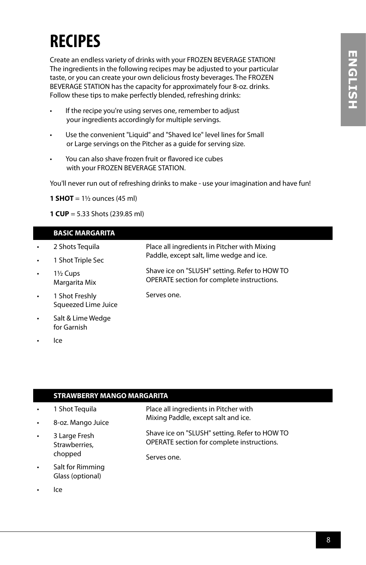## **RECIPES**

Create an endless variety of drinks with your FROZEN BEVERAGE STATION! The ingredients in the following recipes may be adjusted to your particular taste, or you can create your own delicious frosty beverages. The FROZEN BEVERAGE STATION has the capacity for approximately four 8-oz. drinks. Follow these tips to make perfectly blended, refreshing drinks:

- If the recipe you're using serves one, remember to adjust your ingredients accordingly for multiple servings.
- Use the convenient "Liquid" and "Shaved Ice" level lines for Small or Large servings on the Pitcher as a guide for serving size.
- You can also shave frozen fruit or flavored ice cubes with your FROZEN BEVERAGE STATION.

You'll never run out of refreshing drinks to make - use your imagination and have fun!

**1 SHOT** =  $1\frac{1}{2}$  ounces (45 ml)

**1 CUP** = 5.33 Shots (239.85 ml)

#### **BASIC MARGARITA**

- 2 Shots Tequila • 1 Shot Triple Sec • 1½ Cups Margarita Mix • 1 Shot Freshly Squeezed Lime Juice Place all ingredients in Pitcher with Mixing Paddle, except salt, lime wedge and ice. Shave ice on "SLUSH" setting. Refer to HOW TO OPERATE section for complete instructions. Serves one.
- Salt & Lime Wedge for Garnish
- Ice

#### **STRAWBERRY MANGO MARGARITA**

| $\bullet$ | 1 Shot Teguila                 | Place all ingredients in Pitcher with                                                       |
|-----------|--------------------------------|---------------------------------------------------------------------------------------------|
| $\bullet$ | 8-oz. Mango Juice              | Mixing Paddle, except salt and ice.                                                         |
| $\bullet$ | 3 Large Fresh<br>Strawberries, | Shave ice on "SLUSH" setting. Refer to HOW TO<br>OPERATE section for complete instructions. |
|           | chopped                        | Serves one.                                                                                 |
|           |                                |                                                                                             |

- Salt for Rimming Glass (optional)
- Ice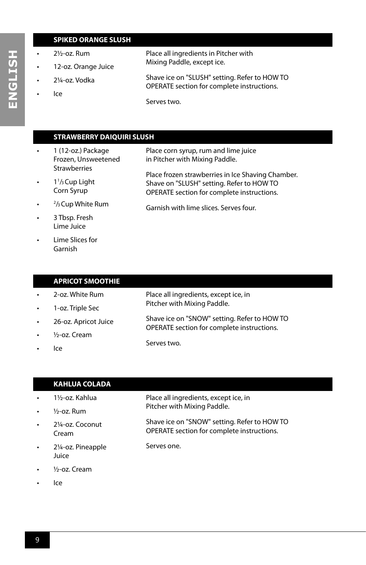#### **SPIKED ORANGE SLUSH**

- 2½-oz. Rum
- 12-oz. Orange Juice
- 2¼-oz. Vodka
- Ice

Place all ingredients in Pitcher with Mixing Paddle, except ice.

- Shave ice on "SLUSH" setting. Refer to HOW TO OPERATE section for complete instructions.
	- Serves two.

#### **STRAWBERRY DAIQUIRI SLUSH**

- 1 (12-oz.) Package Frozen, Unsweetened **Strawberries**  $\cdot$  1<sup>1</sup>/<sub>3</sub> Cup Light Corn Syrup  $\cdot$   $\frac{2}{3}$  Cup White Rum • 3 Tbsp. Fresh Place corn syrup, rum and lime juice in Pitcher with Mixing Paddle. Place frozen strawberries in Ice Shaving Chamber. Shave on "SLUSH" setting. Refer to HOW TO OPERATE section for complete instructions. Garnish with lime slices. Serves four.
- Lime Juice • Lime Slices for Garnish

#### **APRICOT SMOOTHIE**

- 2-oz. White Rum
- 1-oz. Triple Sec
- 26-oz. Apricot Juice
- ½-oz. Cream
- Ice

Serves two.

Serves one.

Place all ingredients, except ice, in Pitcher with Mixing Paddle.

Place all ingredients, except ice, in Pitcher with Mixing Paddle.

Shave ice on "SNOW" setting. Refer to HOW TO OPERATE section for complete instructions.

Shave ice on "SNOW" setting. Refer to HOW TO OPERATE section for complete instructions.

#### **KAHLUA COLADA**

- 1½-oz. Kahlua
- $\frac{1}{2}$ -oz. Rum
- 2¼-oz. Coconut Cream
- 2¼-oz. Pineapple Juice
- ½-oz. Cream
- Ice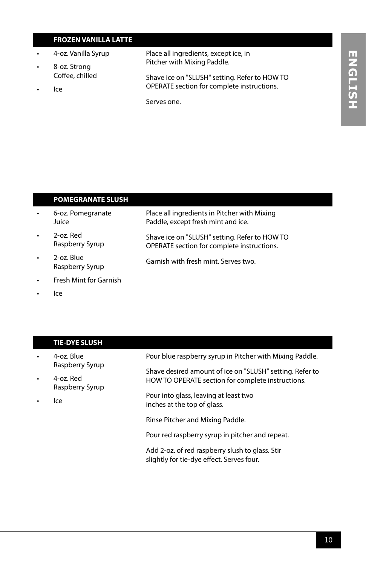## ENGLISH **ENGLISH**

#### **FROZEN VANILLA LATTE**

- 4-oz. Vanilla Syrup
- 8-oz. Strong Coffee, chilled
- Ice

Place all ingredients, except ice, in Pitcher with Mixing Paddle.

Shave ice on "SLUSH" setting. Refer to HOW TO OPERATE section for complete instructions.

Place all ingredients in Pitcher with Mixing Paddle, except fresh mint and ice.

Shave ice on "SLUSH" setting. Refer to HOW TO OPERATE section for complete instructions.

Serves one.

#### **POMEGRANATE SLUSH**

- 6-oz. Pomegranate Juice
- 2-oz. Red Raspberry Syrup
- 2-oz. Blue Raspberry Syrup Garnish with fresh mint. Serves two.
- Fresh Mint for Garnish
- Ice

#### **TIE-DYE SLUSH** • 4-oz. Blue Raspberry Syrup • 4-oz. Red Raspberry Syrup Pour blue raspberry syrup in Pitcher with Mixing Paddle. Shave desired amount of ice on "SLUSH" setting. Refer to HOW TO OPERATE section for complete instructions. Pour into glass, leaving at least two

inches at the top of glass.

• Ice

Rinse Pitcher and Mixing Paddle.

Pour red raspberry syrup in pitcher and repeat.

Add 2-oz. of red raspberry slush to glass. Stir slightly for tie-dye effect. Serves four.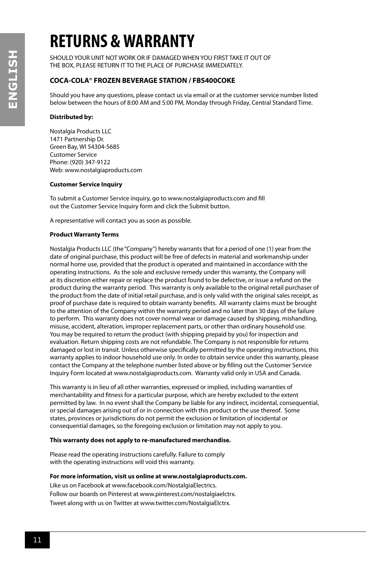## **RETURNS & WARRANTY**

SHOULD YOUR UNIT NOT WORK OR IF DAMAGED WHEN YOU FIRST TAKE IT OUT OF THE BOX, PLEASE RETURN IT TO THE PLACE OF PURCHASE IMMEDIATELY.

#### **COCA-COLA**® **FROZEN BEVERAGE STATION / FBS400COKE**

Should you have any questions, please contact us via email or at the customer service number listed below between the hours of 8:00 AM and 5:00 PM, Monday through Friday, Central Standard Time.

#### **Distributed by:**

Nostalgia Products LLC 1471 Partnership Dr. Green Bay, WI 54304-5685 Customer Service Phone: (920) 347-9122 Web: www.nostalgiaproducts.com

#### **Customer Service Inquiry**

To submit a Customer Service inquiry, go to www.nostalgiaproducts.com and fill out the Customer Service Inquiry form and click the Submit button.

A representative will contact you as soon as possible.

#### **Product Warranty Terms**

Nostalgia Products LLC (the "Company") hereby warrants that for a period of one (1) year from the date of original purchase, this product will be free of defects in material and workmanship under normal home use, provided that the product is operated and maintained in accordance with the operating instructions. As the sole and exclusive remedy under this warranty, the Company will at its discretion either repair or replace the product found to be defective, or issue a refund on the product during the warranty period. This warranty is only available to the original retail purchaser of the product from the date of initial retail purchase, and is only valid with the original sales receipt, as proof of purchase date is required to obtain warranty benefits. All warranty claims must be brought to the attention of the Company within the warranty period and no later than 30 days of the failure to perform. This warranty does not cover normal wear or damage caused by shipping, mishandling, misuse, accident, alteration, improper replacement parts, or other than ordinary household use. You may be required to return the product (with shipping prepaid by you) for inspection and evaluation. Return shipping costs are not refundable. The Company is not responsible for returns damaged or lost in transit. Unless otherwise specifically permitted by the operating instructions, this warranty applies to indoor household use only. In order to obtain service under this warranty, please contact the Company at the telephone number listed above or by filling out the Customer Service Inquiry Form located at www.nostalgiaproducts.com. Warranty valid only in USA and Canada.

This warranty is in lieu of all other warranties, expressed or implied, including warranties of merchantability and fitness for a particular purpose, which are hereby excluded to the extent permitted by law. In no event shall the Company be liable for any indirect, incidental, consequential, or special damages arising out of or in connection with this product or the use thereof. Some states, provinces or jurisdictions do not permit the exclusion or limitation of incidental or consequential damages, so the foregoing exclusion or limitation may not apply to you.

#### **This warranty does not apply to re-manufactured merchandise.**

Please read the operating instructions carefully. Failure to comply with the operating instructions will void this warranty.

#### **For more information, visit us online at www.nostalgiaproducts.com.**

Like us on Facebook at www.facebook.com/NostalgiaElectrics. Follow our boards on Pinterest at www.pinterest.com/nostalgiaelctrx. Tweet along with us on Twitter at www.twitter.com/NostalgiaElctrx.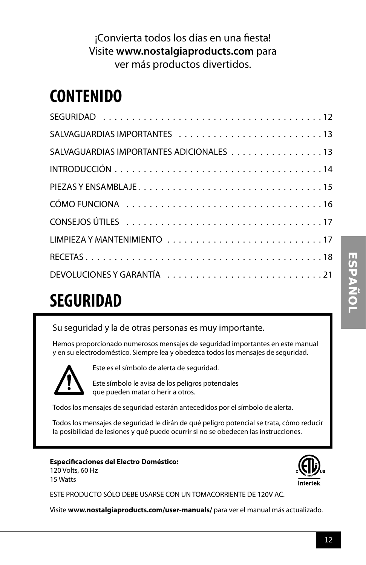### ¡Convierta todos los días en una fiesta! Visite **www.nostalgiaproducts.com** para ver más productos divertidos.

## **CONTENIDO**

## **SEGURIDAD**

Su seguridad y la de otras personas es muy importante.

Hemos proporcionado numerosos mensajes de seguridad importantes en este manual y en su electrodoméstico. Siempre lea y obedezca todos los mensajes de seguridad.



Este es el símbolo de alerta de seguridad.

Este símbolo le avisa de los peligros potenciales que pueden matar o herir a otros.

Todos los mensajes de seguridad estarán antecedidos por el símbolo de alerta.

Todos los mensajes de seguridad le dirán de qué peligro potencial se trata, cómo reducir la posibilidad de lesiones y qué puede ocurrir si no se obedecen las instrucciones.

**Especificaciones del Electro Doméstico:** 120 Volts, 60 Hz 15 Watts



ESTE PRODUCTO SÓLO DEBE USARSE CON UN TOMACORRIENTE DE 120V AC.

Visite **www.nostalgiaproducts.com/user-manuals/** para ver el manual más actualizado.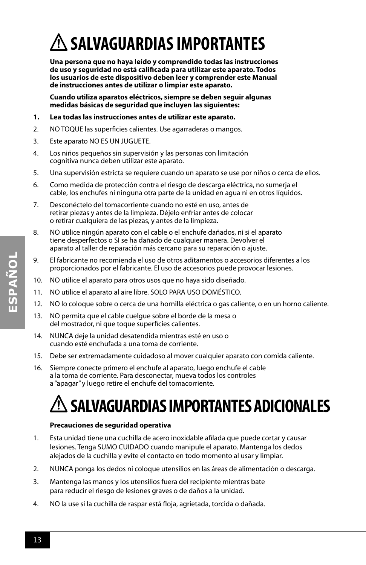## **SALVAGUARDIAS IMPORTANTES**

**Una persona que no haya leído y comprendido todas las instrucciones de uso y seguridad no está calificada para utilizar este aparato. Todos los usuarios de este dispositivo deben leer y comprender este Manual de instrucciones antes de utilizar o limpiar este aparato.**

**Cuando utiliza aparatos eléctricos, siempre se deben seguir algunas medidas básicas de seguridad que incluyen las siguientes:**

- **1. Lea todas las instrucciones antes de utilizar este aparato.**
- 2. NO TOQUE las superficies calientes. Use agarraderas o mangos.
- 3. Este aparato NO ES UN JUGUETE.
- 4. Los niños pequeños sin supervisión y las personas con limitación cognitiva nunca deben utilizar este aparato.
- 5. Una supervisión estricta se requiere cuando un aparato se use por niños o cerca de ellos.
- 6. Como medida de protección contra el riesgo de descarga eléctrica, no sumerja el cable, los enchufes ni ninguna otra parte de la unidad en agua ni en otros líquidos.
- 7. Desconéctelo del tomacorriente cuando no esté en uso, antes de retirar piezas y antes de la limpieza. Déjelo enfriar antes de colocar o retirar cualquiera de las piezas, y antes de la limpieza.
- 8. NO utilice ningún aparato con el cable o el enchufe dañados, ni si el aparato tiene desperfectos o SI se ha dañado de cualquier manera. Devolver el aparato al taller de reparación más cercano para su reparación o ajuste.
- 9. El fabricante no recomienda el uso de otros aditamentos o accesorios diferentes a los proporcionados por el fabricante. El uso de accesorios puede provocar lesiones.
- 10. NO utilice el aparato para otros usos que no haya sido diseñado.
- 11. NO utilice el aparato al aire libre. SOLO PARA USO DOMÉSTICO.
- 12. NO lo coloque sobre o cerca de una hornilla eléctrica o gas caliente, o en un horno caliente.
- 13. NO permita que el cable cuelgue sobre el borde de la mesa o del mostrador, ni que toque superficies calientes.
- 14. NUNCA deje la unidad desatendida mientras esté en uso o cuando esté enchufada a una toma de corriente.
- 15. Debe ser extremadamente cuidadoso al mover cualquier aparato con comida caliente.
- 16. Siempre conecte primero el enchufe al aparato, luego enchufe el cable a la toma de corriente. Para desconectar, mueva todos los controles a "apagar" y luego retire el enchufe del tomacorriente.

## **SALVAGUARDIAS IMPORTANTES ADICIONALES**

#### **Precauciones de seguridad operativa**

- 1. Esta unidad tiene una cuchilla de acero inoxidable afilada que puede cortar y causar lesiones. Tenga SUMO CUIDADO cuando manipule el aparato. Mantenga los dedos alejados de la cuchilla y evite el contacto en todo momento al usar y limpiar.
- 2. NUNCA ponga los dedos ni coloque utensilios en las áreas de alimentación o descarga.
- 3. Mantenga las manos y los utensilios fuera del recipiente mientras bate para reducir el riesgo de lesiones graves o de daños a la unidad.
- 4. NO la use si la cuchilla de raspar está floja, agrietada, torcida o dañada.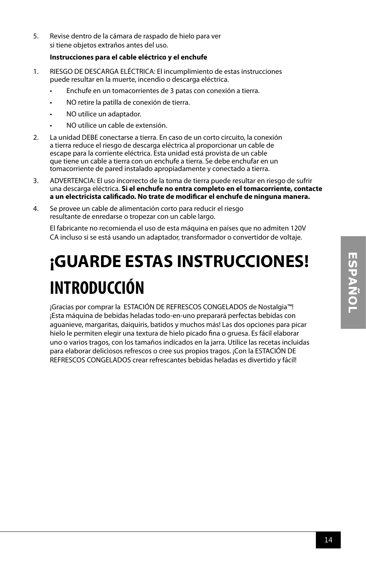5. Revise dentro de la cámara de raspado de hielo para ver si tiene objetos extraños antes del uso.

#### **Instrucciones para el cable eléctrico y el enchufe**

- 1. RIESGO DE DESCARGA ELÉCTRICA: El incumplimiento de estas instrucciones puede resultar en la muerte, incendio o descarga eléctrica.
	- Enchufe en un tomacorrientes de 3 patas con conexión a tierra.
	- NO retire la patilla de conexión de tierra.
	- NO utilice un adaptador.
	- NO utilice un cable de extensión.
- 2. La unidad DEBE conectarse a tierra. En caso de un corto circuito, la conexión a tierra reduce el riesgo de descarga eléctrica al proporcionar un cable de escape para la corriente eléctrica. Esta unidad está provista de un cable que tiene un cable a tierra con un enchufe a tierra. Se debe enchufar en un tomacorriente de pared instalado apropiadamente y conectado a tierra.
- 3. ADVERTENCIA: El uso incorrecto de la toma de tierra puede resultar en riesgo de sufrir una descarga eléctrica. **Si el enchufe no entra completo en el tomacorriente, contacte a un electricista calificado. No trate de modificar el enchufe de ninguna manera.**
- 4. Se provee un cable de alimentación corto para reducir el riesgo resultante de enredarse o tropezar con un cable largo.

El fabricante no recomienda el uso de esta máquina en países que no admiten 120V CA incluso si se está usando un adaptador, transformador o convertidor de voltaje.

## **¡GUARDE ESTAS INSTRUCCIONES! INTRODUCCIÓN**

¡Gracias por comprar la ESTACIÓN DE REFRESCOS CONGELADOS de Nostalgia™! ¡Esta máquina de bebidas heladas todo-en-uno preparará perfectas bebidas con aguanieve, margaritas, daiquiris, batidos y muchos más! Las dos opciones para picar hielo le permiten elegir una textura de hielo picado fina o gruesa. Es fácil elaborar uno o varios tragos, con los tamaños indicados en la jarra. Utilice las recetas incluidas para elaborar deliciosos refrescos o cree sus propios tragos. ¡Con la ESTACIÓN DE REFRESCOS CONGELADOS crear refrescantes bebidas heladas es divertido y fácil!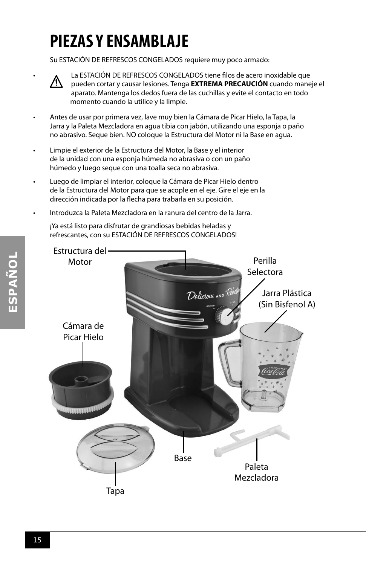## **PIEZAS Y ENSAMBLAJE**

Su ESTACIÓN DE REFRESCOS CONGELADOS requiere muy poco armado:



• La ESTACIÓN DE REFRESCOS CONGELADOS tiene filos de acero inoxidable que pueden cortar y causar lesiones. Tenga **EXTREMA PRECAUCIÓN** cuando maneje el aparato. Mantenga los dedos fuera de las cuchillas y evite el contacto en todo momento cuando la utilice y la limpie.

- Antes de usar por primera vez, lave muy bien la Cámara de Picar Hielo, la Tapa, la Jarra y la Paleta Mezcladora en agua tibia con jabón, utilizando una esponja o paño no abrasivo. Seque bien. NO coloque la Estructura del Motor ni la Base en agua.
- Limpie el exterior de la Estructura del Motor, la Base y el interior de la unidad con una esponja húmeda no abrasiva o con un paño húmedo y luego seque con una toalla seca no abrasiva.
- Luego de limpiar el interior, coloque la Cámara de Picar Hielo dentro de la Estructura del Motor para que se acople en el eje. Gire el eje en la dirección indicada por la flecha para trabarla en su posición.
- Introduzca la Paleta Mezcladora en la ranura del centro de la Jarra.

¡Ya está listo para disfrutar de grandiosas bebidas heladas y refrescantes, con su ESTACIÓN DE REFRESCOS CONGELADOS!

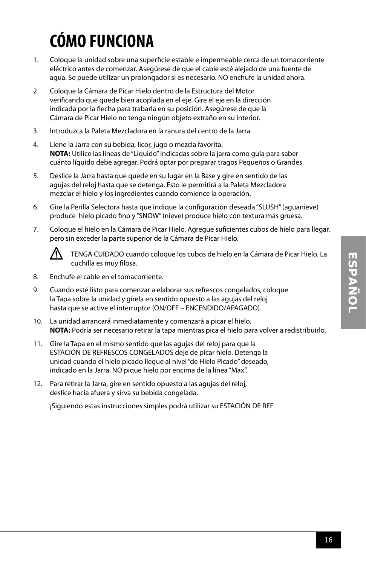## **CÓMO FUNCIONA**

- 1. Coloque la unidad sobre una superficie estable e impermeable cerca de un tomacorriente eléctrico antes de comenzar. Asegúrese de que el cable esté alejado de una fuente de agua. Se puede utilizar un prolongador si es necesario. NO enchufe la unidad ahora.
- 2. Coloque la Cámara de Picar Hielo dentro de la Estructura del Motor verificando que quede bien acoplada en el eje. Gire el eje en la dirección indicada por la flecha para trabarla en su posición. Asegúrese de que la Cámara de Picar Hielo no tenga ningún objeto extraño en su interior.
- 3. Introduzca la Paleta Mezcladora en la ranura del centro de la Jarra.
- 4. Llene la Jarra con su bebida, licor, jugo o mezcla favorita. **NOTA:** Utilice las líneas de "Líquido" indicadas sobre la jarra como guía para saber cuánto líquido debe agregar. Podrá optar por preparar tragos Pequeños o Grandes.
- 5. Deslice la Jarra hasta que quede en su lugar en la Base y gire en sentido de las agujas del reloj hasta que se detenga. Esto le permitirá a la Paleta Mezcladora mezclar el hielo y los ingredientes cuando comience la operación.
- 6. Gire la Perilla Selectora hasta que indique la configuración deseada "SLUSH" (aguanieve) produce hielo picado fino y "SNOW" (nieve) produce hielo con textura más gruesa.
- 7. Coloque el hielo en la Cámara de Picar Hielo. Agregue suficientes cubos de hielo para llegar, pero sin exceder la parte superior de la Cámara de Picar Hielo.



TENGA CUIDADO cuando coloque los cubos de hielo en la Cámara de Picar Hielo. La cuchilla es muy filosa.

- 8. Enchufe el cable en el tomacorriente.
- 9. Cuando esté listo para comenzar a elaborar sus refrescos congelados, coloque la Tapa sobre la unidad y gírela en sentido opuesto a las agujas del reloj hasta que se active el interruptor (ON/OFF – ENCENDIDO/APAGADO).
- 10. La unidad arrancará inmediatamente y comenzará a picar el hielo. **NOTA:** Podría ser necesario retirar la tapa mientras pica el hielo para volver a redistribuirlo.
- 11. Gire la Tapa en el mismo sentido que las agujas del reloj para que la ESTACIÓN DE REFRESCOS CONGELADOS deje de picar hielo. Detenga la unidad cuando el hielo picado llegue al nivel "de Hielo Picado" deseado, indicado en la Jarra. NO pique hielo por encima de la línea "Max".
- 12. Para retirar la Jarra, gire en sentido opuesto a las agujas del reloj, deslice hacia afuera y sirva su bebida congelada.

¡Siguiendo estas instrucciones simples podrá utilizar su ESTACIÓN DE REF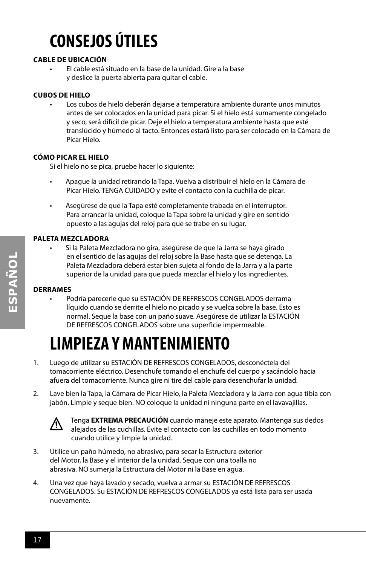## **CONSEJOS ÚTILES**

#### **CABLE DE UBICACIÓN**

• El cable está situado en la base de la unidad. Gire a la base y deslice la puerta abierta para quitar el cable.

#### **CUBOS DE HIELO**

• Los cubos de hielo deberán dejarse a temperatura ambiente durante unos minutos antes de ser colocados en la unidad para picar. Si el hielo está sumamente congelado y seco, será difícil de picar. Deje el hielo a temperatura ambiente hasta que esté translúcido y húmedo al tacto. Entonces estará listo para ser colocado en la Cámara de Picar Hielo.

#### **CÓMO PICAR EL HIELO**

Si el hielo no se pica, pruebe hacer lo siguiente:

- Apague la unidad retirando la Tapa. Vuelva a distribuir el hielo en la Cámara de Picar Hielo. TENGA CUIDADO y evite el contacto con la cuchilla de picar.
- Asegúrese de que la Tapa esté completamente trabada en el interruptor. Para arrancar la unidad, coloque la Tapa sobre la unidad y gire en sentido opuesto a las agujas del reloj para que se trabe en su lugar.

#### **PALETA MEZCLADORA**

• Si la Paleta Mezcladora no gira, asegúrese de que la Jarra se haya girado en el sentido de las agujas del reloj sobre la Base hasta que se detenga. La Paleta Mezcladora deberá estar bien sujeta al fondo de la Jarra y a la parte superior de la unidad para que pueda mezclar el hielo y los ingredientes.

#### **DERRAMES**

• Podría parecerle que su ESTACIÓN DE REFRESCOS CONGELADOS derrama líquido cuando se derrite el hielo no picado y se vuelca sobre la base. Esto es normal. Seque la base con un paño suave. Asegúrese de utilizar la ESTACIÓN DE REFRESCOS CONGELADOS sobre una superficie impermeable.

## **LIMPIEZA Y MANTENIMIENTO**

- 1. Luego de utilizar su ESTACIÓN DE REFRESCOS CONGELADOS, desconéctela del tomacorriente eléctrico. Desenchufe tomando el enchufe del cuerpo y sacándolo hacia afuera del tomacorriente. Nunca gire ni tire del cable para desenchufar la unidad.
- 2. Lave bien la Tapa, la Cámara de Picar Hielo, la Paleta Mezcladora y la Jarra con agua tibia con jabón. Limpie y seque bien. NO coloque la unidad ni ninguna parte en el lavavajillas.



Tenga **EXTREMA PRECAUCIÓN** cuando maneje este aparato. Mantenga sus dedos alejados de las cuchillas. Evite el contacto con las cuchillas en todo momento cuando utilice y limpie la unidad.

- 3. Utilice un paño húmedo, no abrasivo, para secar la Estructura exterior del Motor, la Base y el interior de la unidad. Seque con una toalla no abrasiva. NO sumerja la Estructura del Motor ni la Base en agua.
- 4. Una vez que haya lavado y secado, vuelva a armar su ESTACIÓN DE REFRESCOS CONGELADOS. Su ESTACIÓN DE REFRESCOS CONGELADOS ya está lista para ser usada nuevamente.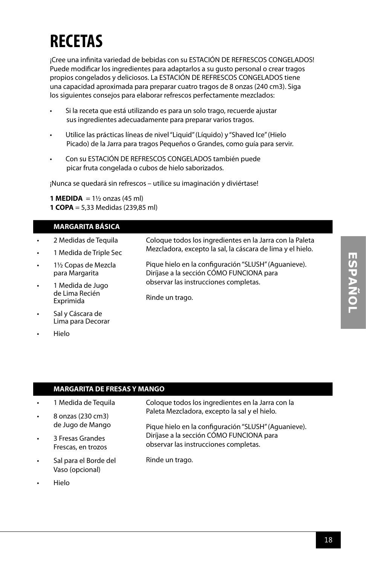## **RECETAS**

¡Cree una infinita variedad de bebidas con su ESTACIÓN DE REFRESCOS CONGELADOS! Puede modificar los ingredientes para adaptarlos a su gusto personal o crear tragos propios congelados y deliciosos. La ESTACIÓN DE REFRESCOS CONGELADOS tiene una capacidad aproximada para preparar cuatro tragos de 8 onzas (240 cm3). Siga los siguientes consejos para elaborar refrescos perfectamente mezclados:

- Si la receta que está utilizando es para un solo trago, recuerde ajustar sus ingredientes adecuadamente para preparar varios tragos.
- Utilice las prácticas líneas de nivel "Liquid" (Líquido) y "Shaved Ice" (Hielo Picado) de la Jarra para tragos Pequeños o Grandes, como guía para servir.
- Con su ESTACIÓN DE REFRESCOS CONGELADOS también puede picar fruta congelada o cubos de hielo saborizados.

¡Nunca se quedará sin refrescos – utilice su imaginación y diviértase!

**1 MEDIDA** =  $1\frac{1}{2}$  onzas (45 ml) **1 COPA** = 5,33 Medidas (239,85 ml)

#### **MARGARITA BÁSICA**

- 2 Medidas de Tequila • 1 Medida de Triple Sec • 1½ Copas de Mezcla para Margarita • 1 Medida de Jugo de Lima Recién Exprimida Coloque todos los ingredientes en la Jarra con la Paleta Mezcladora, excepto la sal, la cáscara de lima y el hielo. Pique hielo en la configuración "SLUSH" (Aguanieve). Diríjase a la sección CÓMO FUNCIONA para observar las instrucciones completas. Rinde un trago.
- Lima para Decorar • Hielo

#### **MARGARITA DE FRESAS Y MANGO**

• 1 Medida de Tequila

Sal y Cáscara de

- 8 onzas (230 cm3) de Jugo de Mango
- Paleta Mezcladora, excepto la sal y el hielo.

Rinde un trago.

Pique hielo en la configuración "SLUSH" (Aguanieve). Diríjase a la sección CÓMO FUNCIONA para observar las instrucciones completas.

Coloque todos los ingredientes en la Jarra con la

• Sal para el Borde del Vaso (opcional)

• 3 Fresas Grandes Frescas, en trozos

• Hielo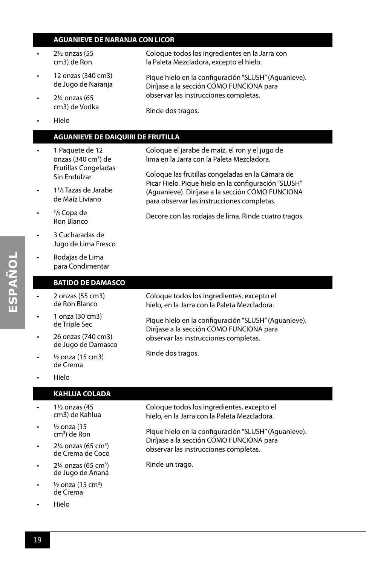#### **AGUANIEVE DE NARANJA CON LICOR**

- 2½ onzas (55 cm3) de Ron
- 12 onzas (340 cm3) de Jugo de Naranja
- 2¼ onzas (65 cm3) de Vodka
- Hielo

#### **AGUANIEVE DE DAIQUIRI DE FRUTILLA**

- 1 Paquete de 12 onzas (340 cm<sup>3</sup>) de Frutillas Congeladas Sin Endulzar
- 1<sup>1</sup>/<sub>3</sub> Tazas de Jarabe de Maíz Liviano
- $\cdot$   $\frac{2}{3}$  Copa de Ron Blanco
- 3 Cucharadas de Jugo de Lima Fresco
- Rodajas de Lima para Condimentar

#### **BATIDO DE DAMASCO**

- 2 onzas (55 cm3) de Ron Blanco
- 1 onza (30 cm3) de Triple Sec
- 26 onzas (740 cm3) de Jugo de Damasco
- $\frac{1}{2}$  onza (15 cm3) de Crema
- Hielo

#### **KAHLUA COLADA**

- 1½ onzas (45 cm3) de Kahlua
- $\frac{1}{2}$  onza (15) cm3 ) de Ron
- $\cdot$  2¼ onzas (65 cm<sup>3</sup>) de Crema de Coco
- $\cdot$  2¼ onzas (65 cm<sup>3</sup>) de Jugo de Ananá
- $\frac{1}{2}$  onza (15 cm<sup>3</sup>) de Crema
- Hielo

Coloque todos los ingredientes en la Jarra con la Paleta Mezcladora, excepto el hielo.

Pique hielo en la configuración "SLUSH" (Aguanieve). Diríjase a la sección CÓMO FUNCIONA para observar las instrucciones completas.

Rinde dos tragos.

Coloque el jarabe de maíz, el ron y el jugo de lima en la Jarra con la Paleta Mezcladora.

Coloque las frutillas congeladas en la Cámara de Picar Hielo. Pique hielo en la configuración "SLUSH" (Aguanieve). Diríjase a la sección CÓMO FUNCIONA para observar las instrucciones completas.

Decore con las rodajas de lima. Rinde cuatro tragos.

Coloque todos los ingredientes, excepto el hielo, en la Jarra con la Paleta Mezcladora.

Pique hielo en la configuración "SLUSH" (Aguanieve). Diríjase a la sección CÓMO FUNCIONA para observar las instrucciones completas.

Rinde dos tragos.

Coloque todos los ingredientes, excepto el hielo, en la Jarra con la Paleta Mezcladora.

Pique hielo en la configuración "SLUSH" (Aguanieve). Diríjase a la sección CÓMO FUNCIONA para observar las instrucciones completas.

Rinde un trago.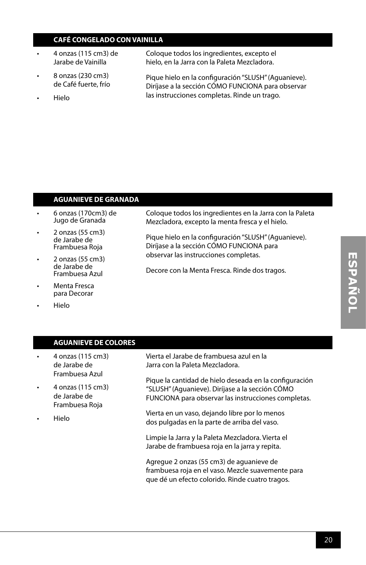#### **CAFÉ CONGELADO CON VAINILLA**

- 4 onzas (115 cm3) de Jarabe de Vainilla
- 8 onzas (230 cm3) de Café fuerte, frío
- Hielo

Coloque todos los ingredientes, excepto el hielo, en la Jarra con la Paleta Mezcladora.

Pique hielo en la configuración "SLUSH" (Aguanieve). Diríjase a la sección CÓMO FUNCIONA para observar las instrucciones completas. Rinde un trago.

#### **AGUANIEVE DE GRANADA**

- 6 onzas (170cm3) de Jugo de Granada
- 2 onzas (55 cm3) de Jarabe de Frambuesa Roja
- 2 onzas (55 cm3) de Jarabe de Frambuesa Azul
- Menta Fresca para Decorar
- Hielo

Coloque todos los ingredientes en la Jarra con la Paleta Mezcladora, excepto la menta fresca y el hielo.

Pique hielo en la configuración "SLUSH" (Aguanieve). Diríjase a la sección CÓMO FUNCIONA para observar las instrucciones completas.

Decore con la Menta Fresca. Rinde dos tragos.

**AGUANIEVE DE COLORES** • 4 onzas (115 cm3) de Jarabe de Frambuesa Azul • 4 onzas (115 cm3) de Jarabe de Frambuesa Roja • Hielo Vierta el Jarabe de frambuesa azul en la Jarra con la Paleta Mezcladora. Pique la cantidad de hielo deseada en la configuración "SLUSH" (Aguanieve). Diríjase a la sección CÓMO FUNCIONA para observar las instrucciones completas. Vierta en un vaso, dejando libre por lo menos dos pulgadas en la parte de arriba del vaso. Limpie la Jarra y la Paleta Mezcladora. Vierta el Jarabe de frambuesa roja en la jarra y repita. Agregue 2 onzas (55 cm3) de aguanieve de frambuesa roja en el vaso. Mezcle suavemente para que dé un efecto colorido. Rinde cuatro tragos.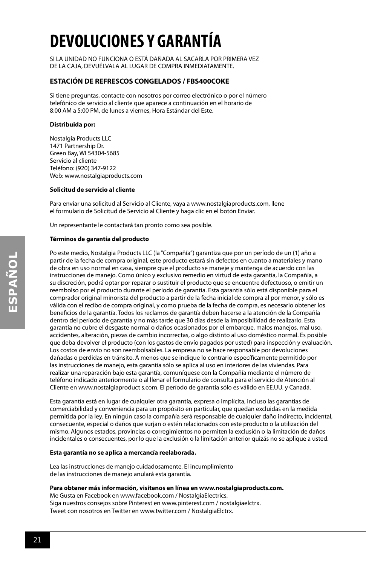## **DEVOLUCIONES Y GARANTÍA**

SI LA UNIDAD NO FUNCIONA O ESTÁ DAÑADA AL SACARLA POR PRIMERA VEZ DE LA CAJA, DEVUÉLVALA AL LUGAR DE COMPRA INMEDIATAMENTE.

#### **ESTACIÓN DE REFRESCOS CONGELADOS / FBS400COKE**

Si tiene preguntas, contacte con nosotros por correo electrónico o por el número telefónico de servicio al cliente que aparece a continuación en el horario de 8:00 AM a 5:00 PM, de lunes a viernes, Hora Estándar del Este.

#### **Distribuida por:**

Nostalgia Products LLC 1471 Partnership Dr. Green Bay, WI 54304-5685 Servicio al cliente Teléfono: (920) 347-9122 Web: www.nostalgiaproducts.com

#### **Solicitud de servicio al cliente**

Para enviar una solicitud al Servicio al Cliente, vaya a www.nostalgiaproducts.com, llene el formulario de Solicitud de Servicio al Cliente y haga clic en el botón Enviar.

Un representante le contactará tan pronto como sea posible.

#### **Términos de garantía del producto**

Po este medio, Nostalgia Products LLC (la "Compañía") garantiza que por un período de un (1) año a partir de la fecha de compra original, este producto estará sin defectos en cuanto a materiales y mano de obra en uso normal en casa, siempre que el producto se maneje y mantenga de acuerdo con las instrucciones de manejo. Como único y exclusivo remedio en virtud de esta garantía, la Compañía, a su discreción, podrá optar por reparar o sustituir el producto que se encuentre defectuoso, o emitir un reembolso por el producto durante el período de garantía. Esta garantía sólo está disponible para el comprador original minorista del producto a partir de la fecha inicial de compra al por menor, y sólo es válida con el recibo de compra original, y como prueba de la fecha de compra, es necesario obtener los beneficios de la garantía. Todos los reclamos de garantía deben hacerse a la atención de la Compañía dentro del período de garantía y no más tarde que 30 días desde la imposibilidad de realizarlo. Esta garantía no cubre el desgaste normal o daños ocasionados por el embarque, malos manejos, mal uso, accidentes, alteración, piezas de cambio incorrectas, o algo distinto al uso doméstico normal. Es posible que deba devolver el producto (con los gastos de envío pagados por usted) para inspección y evaluación. Los costos de envío no son reembolsables. La empresa no se hace responsable por devoluciones dañadas o perdidas en tránsito. A menos que se indique lo contrario específicamente permitido por las instrucciones de manejo, esta garantía sólo se aplica al uso en interiores de las viviendas. Para realizar una reparación bajo esta garantía, comuníquese con la Compañía mediante el número de teléfono indicado anteriormente o al llenar el formulario de consulta para el servicio de Atención al Cliente en www.nostalgiaproduct s.com. El período de garantía sólo es válido en EE.UU. y Canadá.

Esta garantía está en lugar de cualquier otra garantía, expresa o implícita, incluso las garantías de comerciabilidad y conveniencia para un propósito en particular, que quedan excluidas en la medida permitida por la ley. En ningún caso la compañía será responsable de cualquier daño indirecto, incidental, consecuente, especial o daños que surjan o estén relacionados con este producto o la utilización del mismo. Algunos estados, provincias o corregimientos no permiten la exclusión o la limitación de daños incidentales o consecuentes, por lo que la exclusión o la limitación anterior quizás no se aplique a usted.

#### **Esta garantía no se aplica a mercancía reelaborada.**

Lea las instrucciones de manejo cuidadosamente. El incumplimiento de las instrucciones de manejo anulará esta garantía.

#### **Para obtener más información, visítenos en línea en www.nostalgiaproducts.com.**

Me Gusta en Facebook en www.facebook.com / NostalgiaElectrics. Siga nuestros consejos sobre Pinterest en www.pinterest.com / nostalgiaelctrx. Tweet con nosotros en Twitter en www.twitter.com / NostalgiaElctrx.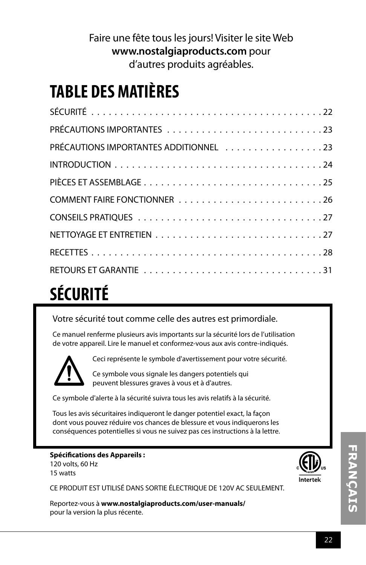#### Faire une fête tous les jours! Visiter le site Web **www.nostalgiaproducts.com** pour d'autres produits agréables.

## **TABLE DES MATIÈRES**

| PRÉCAUTIONS IMPORTANTES ADDITIONNEL 23 |
|----------------------------------------|
|                                        |
|                                        |
|                                        |
|                                        |
|                                        |
|                                        |
|                                        |

## **SÉCURITÉ**

Votre sécurité tout comme celle des autres est primordiale.

Ce manuel renferme plusieurs avis importants sur la sécurité lors de l'utilisation de votre appareil. Lire le manuel et conformez-vous aux avis contre-indiqués.



Ceci représente le symbole d'avertissement pour votre sécurité.

Ce symbole vous signale les dangers potentiels qui peuvent blessures graves à vous et à d'autres.

Ce symbole d'alerte à la sécurité suivra tous les avis relatifs à la sécurité.

Tous les avis sécuritaires indiqueront le danger potentiel exact, la façon dont vous pouvez réduire vos chances de blessure et vous indiquerons les conséquences potentielles si vous ne suivez pas ces instructions à la lettre.

#### **Spécifications des Appareils :**

120 volts, 60 Hz 15 watts

CE PRODUIT EST UTILISÉ DANS SORTIE ÉLECTRIQUE DE 120V AC SEULEMENT.

Reportez-vous à **www.nostalgiaproducts.com/user-manuals/**  pour la version la plus récente.

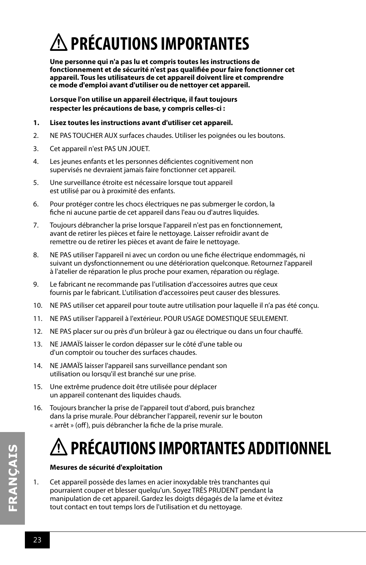## **PRÉCAUTIONS IMPORTANTES**

**Une personne qui n'a pas lu et compris toutes les instructions de fonctionnement et de sécurité n'est pas qualifiée pour faire fonctionner cet appareil. Tous les utilisateurs de cet appareil doivent lire et comprendre ce mode d'emploi avant d'utiliser ou de nettoyer cet appareil.**

**Lorsque l'on utilise un appareil électrique, il faut toujours respecter les précautions de base, y compris celles-ci :**

- **1. Lisez toutes les instructions avant d'utiliser cet appareil.**
- 2. NE PAS TOUCHER AUX surfaces chaudes. Utiliser les poignées ou les boutons.
- 3. Cet appareil n'est PAS UN JOUET.
- 4. Les jeunes enfants et les personnes déficientes cognitivement non supervisés ne devraient jamais faire fonctionner cet appareil.
- 5. Une surveillance étroite est nécessaire lorsque tout appareil est utilisé par ou à proximité des enfants.
- 6. Pour protéger contre les chocs électriques ne pas submerger le cordon, la fiche ni aucune partie de cet appareil dans l'eau ou d'autres liquides.
- 7. Toujours débrancher la prise lorsque l'appareil n'est pas en fonctionnement, avant de retirer les pièces et faire le nettoyage. Laisser refroidir avant de remettre ou de retirer les pièces et avant de faire le nettoyage.
- 8. NE PAS utiliser l'appareil ni avec un cordon ou une fiche électrique endommagés, ni suivant un dysfonctionnement ou une détérioration quelconque. Retournez l'appareil à l'atelier de réparation le plus proche pour examen, réparation ou réglage.
- 9. Le fabricant ne recommande pas l'utilisation d'accessoires autres que ceux fournis par le fabricant. L'utilisation d'accessoires peut causer des blessures.
- 10. NE PAS utiliser cet appareil pour toute autre utilisation pour laquelle il n'a pas été conçu.
- 11. NE PAS utiliser l'appareil à l'extérieur. POUR USAGE DOMESTIQUE SEULEMENT.
- 12. NE PAS placer sur ou près d'un brûleur à gaz ou électrique ou dans un four chauffé.
- 13. NE JAMAÏS laisser le cordon dépasser sur le côté d'une table ou d'un comptoir ou toucher des surfaces chaudes.
- 14. NE JAMAÏS laisser l'appareil sans surveillance pendant son utilisation ou lorsqu'il est branché sur une prise.
- 15. Une extrême prudence doit être utilisée pour déplacer un appareil contenant des liquides chauds.
- 16. Toujours brancher la prise de l'appareil tout d'abord, puis branchez dans la prise murale. Pour débrancher l'appareil, revenir sur le bouton « arrêt » (off), puis débrancher la fiche de la prise murale.

## **PRÉCAUTIONS IMPORTANTES ADDITIONNEL**

#### **Mesures de sécurité d'exploitation**

1. Cet appareil possède des lames en acier inoxydable très tranchantes qui pourraient couper et blesser quelqu'un. Soyez TRÈS PRUDENT pendant la manipulation de cet appareil. Gardez les doigts dégagés de la lame et évitez tout contact en tout temps lors de l'utilisation et du nettoyage.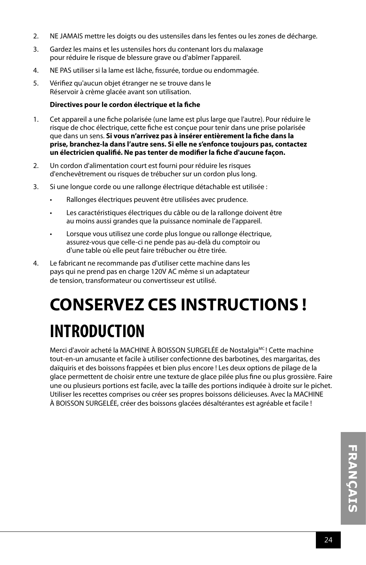- 2. NE JAMAIS mettre les doigts ou des ustensiles dans les fentes ou les zones de décharge.
- 3. Gardez les mains et les ustensiles hors du contenant lors du malaxage pour réduire le risque de blessure grave ou d'abîmer l'appareil.
- 4. NE PAS utiliser si la lame est lâche, fissurée, tordue ou endommagée.
- 5. Vérifiez qu'aucun objet étranger ne se trouve dans le Réservoir à crème glacée avant son utilisation.

#### **Directives pour le cordon électrique et la fiche**

- 1. Cet appareil a une fiche polarisée (une lame est plus large que l'autre). Pour réduire le risque de choc électrique, cette fiche est conçue pour tenir dans une prise polarisée que dans un sens. **Si vous n'arrivez pas à insérer entièrement la fiche dans la prise, branchez-la dans l'autre sens. Si elle ne s'enfonce toujours pas, contactez un électricien qualifié. Ne pas tenter de modifier la fiche d'aucune façon.**
- 2. Un cordon d'alimentation court est fourni pour réduire les risques d'enchevêtrement ou risques de trébucher sur un cordon plus long.
- 3. Si une longue corde ou une rallonge électrique détachable est utilisée :
	- Rallonges électriques peuvent être utilisées avec prudence.
	- Les caractéristiques électriques du câble ou de la rallonge doivent être au moins aussi grandes que la puissance nominale de l'appareil.
	- Lorsque vous utilisez une corde plus longue ou rallonge électrique, assurez-vous que celle-ci ne pende pas au-delà du comptoir ou d'une table où elle peut faire trébucher ou être tirée.
- 4. Le fabricant ne recommande pas d'utiliser cette machine dans les pays qui ne prend pas en charge 120V AC même si un adaptateur de tension, transformateur ou convertisseur est utilisé.

## **CONSERVEZ CES INSTRUCTIONS ! INTRODUCTION**

Merci d'avoir acheté la MACHINE À BOISSON SURGELÉE de Nostalgia<sup>MC</sup>! Cette machine tout-en-un amusante et facile à utiliser confectionne des barbotines, des margaritas, des daïquiris et des boissons frappées et bien plus encore ! Les deux options de pilage de la glace permettent de choisir entre une texture de glace pilée plus fine ou plus grossière. Faire une ou plusieurs portions est facile, avec la taille des portions indiquée à droite sur le pichet. Utiliser les recettes comprises ou créer ses propres boissons délicieuses. Avec la MACHINE À BOISSON SURGELÉE, créer des boissons glacées désaltérantes est agréable et facile !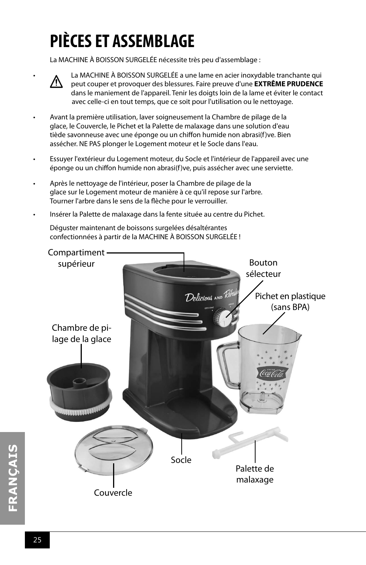## **PIÈCES ET ASSEMBLAGE**

La MACHINE À BOISSON SURGELÉE nécessite très peu d'assemblage :



• La MACHINE À BOISSON SURGELÉE a une lame en acier inoxydable tranchante qui peut couper et provoquer des blessures. Faire preuve d'une **EXTRÊME PRUDENCE** dans le maniement de l'appareil. Tenir les doigts loin de la lame et éviter le contact avec celle-ci en tout temps, que ce soit pour l'utilisation ou le nettoyage.

- Avant la première utilisation, laver soigneusement la Chambre de pilage de la glace, le Couvercle, le Pichet et la Palette de malaxage dans une solution d'eau tiède savonneuse avec une éponge ou un chiffon humide non abrasi(f)ve. Bien assécher. NE PAS plonger le Logement moteur et le Socle dans l'eau.
- Essuyer l'extérieur du Logement moteur, du Socle et l'intérieur de l'appareil avec une éponge ou un chiffon humide non abrasi(f)ve, puis assécher avec une serviette.
- Après le nettoyage de l'intérieur, poser la Chambre de pilage de la glace sur le Logement moteur de manière à ce qu'il repose sur l'arbre. Tourner l'arbre dans le sens de la flèche pour le verrouiller.
- Insérer la Palette de malaxage dans la fente située au centre du Pichet.

Déguster maintenant de boissons surgelées désaltérantes confectionnées à partir de la MACHINE À BOISSON SURGELÉE !

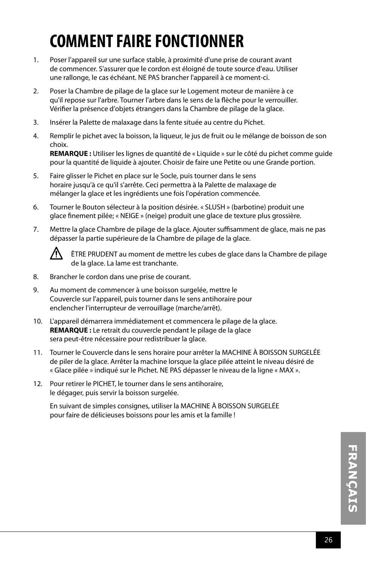## **COMMENT FAIRE FONCTIONNER**

- 1. Poser l'appareil sur une surface stable, à proximité d'une prise de courant avant de commencer. S'assurer que le cordon est éloigné de toute source d'eau. Utiliser une rallonge, le cas échéant. NE PAS brancher l'appareil à ce moment-ci.
- 2. Poser la Chambre de pilage de la glace sur le Logement moteur de manière à ce qu'il repose sur l'arbre. Tourner l'arbre dans le sens de la flèche pour le verrouiller. Vérifier la présence d'objets étrangers dans la Chambre de pilage de la glace.
- 3. Insérer la Palette de malaxage dans la fente située au centre du Pichet.
- 4. Remplir le pichet avec la boisson, la liqueur, le jus de fruit ou le mélange de boisson de son choix.

**REMARQUE :** Utiliser les lignes de quantité de « Liquide » sur le côté du pichet comme guide pour la quantité de liquide à ajouter. Choisir de faire une Petite ou une Grande portion.

- 5. Faire glisser le Pichet en place sur le Socle, puis tourner dans le sens horaire jusqu'à ce qu'il s'arrête. Ceci permettra à la Palette de malaxage de mélanger la glace et les ingrédients une fois l'opération commencée.
- 6. Tourner le Bouton sélecteur à la position désirée. « SLUSH » (barbotine) produit une glace finement pilée; « NEIGE » (neige) produit une glace de texture plus grossière.
- 7. Mettre la glace Chambre de pilage de la glace. Ajouter suffisamment de glace, mais ne pas dépasser la partie supérieure de la Chambre de pilage de la glace.



ÊTRE PRUDENT au moment de mettre les cubes de glace dans la Chambre de pilage de la glace. La lame est tranchante.

- 8. Brancher le cordon dans une prise de courant.
- 9. Au moment de commencer à une boisson surgelée, mettre le Couvercle sur l'appareil, puis tourner dans le sens antihoraire pour enclencher l'interrupteur de verrouillage (marche/arrêt).
- 10. L'appareil démarrera immédiatement et commencera le pilage de la glace. **REMARQUE :** Le retrait du couvercle pendant le pilage de la glace sera peut-être nécessaire pour redistribuer la glace.
- 11. Tourner le Couvercle dans le sens horaire pour arrêter la MACHINE À BOISSON SURGELÉE de piler de la glace. Arrêter la machine lorsque la glace pilée atteint le niveau désiré de « Glace pilée » indiqué sur le Pichet. NE PAS dépasser le niveau de la ligne « MAX ».
- 12. Pour retirer le PICHET, le tourner dans le sens antihoraire, le dégager, puis servir la boisson surgelée.

En suivant de simples consignes, utiliser la MACHINE À BOISSON SURGELÉE pour faire de délicieuses boissons pour les amis et la famille !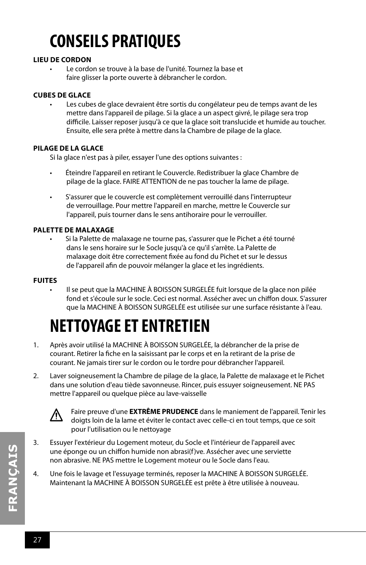## **CONSEILS PRATIQUES**

#### **LIEU DE CORDON**

Le cordon se trouve à la base de l'unité. Tournez la base et faire glisser la porte ouverte à débrancher le cordon.

#### **CUBES DE GLACE**

Les cubes de glace devraient être sortis du congélateur peu de temps avant de les mettre dans l'appareil de pilage. Si la glace a un aspect givré, le pilage sera trop difficile. Laisser reposer jusqu'à ce que la glace soit translucide et humide au toucher. Ensuite, elle sera prête à mettre dans la Chambre de pilage de la glace.

#### **PILAGE DE LA GLACE**

Si la glace n'est pas à piler, essayer l'une des options suivantes :

- Éteindre l'appareil en retirant le Couvercle. Redistribuer la glace Chambre de pilage de la glace. FAIRE ATTENTION de ne pas toucher la lame de pilage.
- S'assurer que le couvercle est complètement verrouillé dans l'interrupteur de verrouillage. Pour mettre l'appareil en marche, mettre le Couvercle sur l'appareil, puis tourner dans le sens antihoraire pour le verrouiller.

#### **PALETTE DE MALAXAGE**

Si la Palette de malaxage ne tourne pas, s'assurer que le Pichet a été tourné dans le sens horaire sur le Socle jusqu'à ce qu'il s'arrête. La Palette de malaxage doit être correctement fixée au fond du Pichet et sur le dessus de l'appareil afin de pouvoir mélanger la glace et les ingrédients.

#### **FUITES**

• Il se peut que la MACHINE À BOISSON SURGELÉE fuit lorsque de la glace non pilée fond et s'écoule sur le socle. Ceci est normal. Assécher avec un chiffon doux. S'assurer que la MACHINE À BOISSON SURGELÉE est utilisée sur une surface résistante à l'eau.

## **NETTOYAGE ET ENTRETIEN**

- 1. Après avoir utilisé la MACHINE À BOISSON SURGELÉE, la débrancher de la prise de courant. Retirer la fiche en la saisissant par le corps et en la retirant de la prise de courant. Ne jamais tirer sur le cordon ou le tordre pour débrancher l'appareil.
- 2. Laver soigneusement la Chambre de pilage de la glace, la Palette de malaxage et le Pichet dans une solution d'eau tiède savonneuse. Rincer, puis essuyer soigneusement. NE PAS mettre l'appareil ou quelque pièce au lave-vaisselle



Faire preuve d'une **EXTRÊME PRUDENCE** dans le maniement de l'appareil. Tenir les doigts loin de la lame et éviter le contact avec celle-ci en tout temps, que ce soit pour l'utilisation ou le nettoyage

- 3. Essuyer l'extérieur du Logement moteur, du Socle et l'intérieur de l'appareil avec une éponge ou un chiffon humide non abrasi(f)ve. Assécher avec une serviette non abrasive. NE PAS mettre le Logement moteur ou le Socle dans l'eau.
- 4. Une fois le lavage et l'essuyage terminés, reposer la MACHINE À BOISSON SURGELÉE. Maintenant la MACHINE À BOISSON SURGELÉE est prête à être utilisée à nouveau.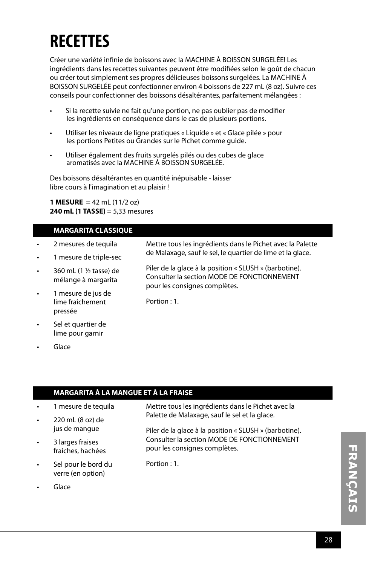## **RECETTES**

Créer une variété infinie de boissons avec la MACHINE À BOISSON SURGELÉE! Les ingrédients dans les recettes suivantes peuvent être modifiées selon le goût de chacun ou créer tout simplement ses propres délicieuses boissons surgelées. La MACHINE À BOISSON SURGELÉE peut confectionner environ 4 boissons de 227 mL (8 oz). Suivre ces conseils pour confectionner des boissons désaltérantes, parfaitement mélangées :

- Si la recette suivie ne fait qu'une portion, ne pas oublier pas de modifier les ingrédients en conséquence dans le cas de plusieurs portions.
- Utiliser les niveaux de ligne pratiques « Liquide » et « Glace pilée » pour les portions Petites ou Grandes sur le Pichet comme guide.
- Utiliser également des fruits surgelés pilés ou des cubes de glace aromatisés avec la MACHINE À BOISSON SURGELÉE.

Des boissons désaltérantes en quantité inépuisable - laisser libre cours à l'imagination et au plaisir !

**1 MESURE** = 42 mL (11/2 oz) **240 mL (1 TASSE)** = 5,33 mesures

#### **MARGARITA CLASSIQUE**

- 2 mesures de tequila • 1 mesure de triple-sec • 360 mL (1 ½ tasse) de mélange à margarita 1 mesure de jus de lime fraîchement pressée Sel et quartier de lime pour garnir Mettre tous les ingrédients dans le Pichet avec la Palette de Malaxage, sauf le sel, le quartier de lime et la glace. Piler de la glace à la position « SLUSH » (barbotine). Consulter la section MODE DE FONCTIONNEMENT pour les consignes complètes. Portion : 1.
- Glace

#### **MARGARITA À LA MANGUE ET À LA FRAISE**

- 1 mesure de tequila
- 220 mL (8 oz) de jus de mangue
- 3 larges fraises fraîches, hachées
- Sel pour le bord du verre (en option)
- **Glace**

Mettre tous les ingrédients dans le Pichet avec la Palette de Malaxage, sauf le sel et la glace.

Piler de la glace à la position « SLUSH » (barbotine). Consulter la section MODE DE FONCTIONNEMENT pour les consignes complètes.

Portion : 1.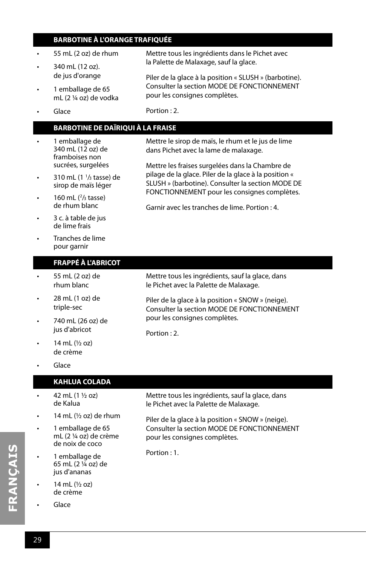#### **BARBOTINE À L'ORANGE TRAFIQUÉE**

- 55 mL (2 oz) de rhum
- 340 mL (12 oz). de jus d'orange
- 1 emballage de 65 mL (2 ¼ oz) de vodka
- Mettre tous les ingrédients dans le Pichet avec la Palette de Malaxage, sauf la glace.

Piler de la glace à la position « SLUSH » (barbotine). Consulter la section MODE DE FONCTIONNEMENT pour les consignes complètes.

Mettre le sirop de maïs, le rhum et le jus de lime dans Pichet avec la lame de malaxage.

Mettre les fraises surgelées dans la Chambre de pilage de la glace. Piler de la glace à la position « SLUSH » (barbotine). Consulter la section MODE DE

• Glace

Portion : 2.

#### **BARBOTINE DE DAÏRIQUI À LA FRAISE**

- 1 emballage de 340 mL (12 oz) de framboises non sucrées, surgelées
- 310 mL  $(1<sup>1</sup>/3$  tasse) de sirop de maïs léger
- 160 mL  $(^{2}/_{3}$  tasse) de rhum blanc
- de lime frais

#### **FRAPPÉ À L'ABRICOT**

- 55 mL (2 oz) de rhum blanc
- 28 mL (1 oz) de triple-sec
- 740 mL (26 oz) de jus d'abricot
- 14 mL (½ oz) de crème
- Glace

#### **KAHLUA COLADA**

- $42 \text{ mL} (1 \frac{1}{2} \text{ oz})$ de Kalua
- 14 mL  $(\frac{1}{2}$  oz) de rhum
- 1 emballage de 65 mL (2 ¼ oz) de crème de noix de coco
- 1 emballage de 65 mL (2 ¼ oz) de jus d'ananas
- 14 mL (½ oz) de crème
- Glace

Mettre tous les ingrédients, sauf la glace, dans le Pichet avec la Palette de Malaxage.

Piler de la glace à la position « SNOW » (neige). Consulter la section MODE DE FONCTIONNEMENT pour les consignes complètes.

Portion  $\cdot$  1.

- - FONCTIONNEMENT pour les consignes complètes. Garnir avec les tranches de lime. Portion : 4.
- 3 c. à table de jus
- Tranches de lime pour garnir

Mettre tous les ingrédients, sauf la glace, dans le Pichet avec la Palette de Malaxage.

Piler de la glace à la position « SNOW » (neige). Consulter la section MODE DE FONCTIONNEMENT pour les consignes complètes.

Portion : 2.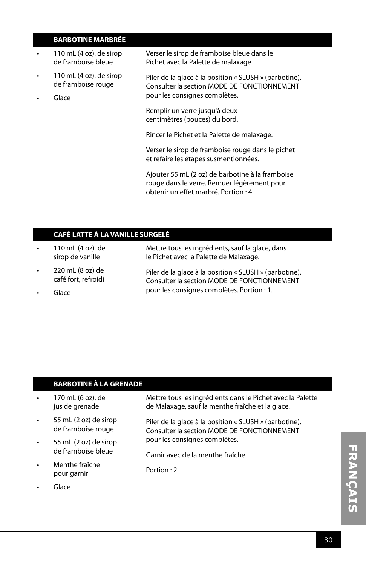#### **BARBOTINE MARBRÉE**

- 110 mL (4 oz). de sirop de framboise bleue
- 110 mL (4 oz). de sirop de framboise rouge
- Glace

Verser le sirop de framboise bleue dans le Pichet avec la Palette de malaxage.

Piler de la glace à la position « SLUSH » (barbotine). Consulter la section MODE DE FONCTIONNEMENT pour les consignes complètes.

Remplir un verre jusqu'à deux centimètres (pouces) du bord.

Rincer le Pichet et la Palette de malaxage.

Verser le sirop de framboise rouge dans le pichet et refaire les étapes susmentionnées.

Ajouter 55 mL (2 oz) de barbotine à la framboise rouge dans le verre. Remuer légèrement pour obtenir un effet marbré. Portion : 4.

#### **CAFÉ LATTE À LA VANILLE SURGELÉ**

- 110 mL (4 oz). de sirop de vanille
- 220 mL (8 oz) de café fort, refroidi
- Glace

Mettre tous les ingrédients, sauf la glace, dans le Pichet avec la Palette de Malaxage.

Piler de la glace à la position « SLUSH » (barbotine). Consulter la section MODE DE FONCTIONNEMENT pour les consignes complètes. Portion : 1.

#### **BARBOTINE À LA GRENADE**

| 170 mL (6 oz). de | Mettre tous les ingrédients dans le Pichet avec la Palette |
|-------------------|------------------------------------------------------------|
| jus de grenade    | de Malaxage, sauf la menthe fraîche et la glace.           |

- 55 mL (2 oz) de sirop de framboise rouge
- 55 mL (2 oz) de sirop de framboise bleue
- Menthe fraîche pour garnir
- Glace

Piler de la glace à la position « SLUSH » (barbotine). Consulter la section MODE DE FONCTIONNEMENT pour les consignes complètes.

Garnir avec de la menthe fraîche.

Portion : 2.